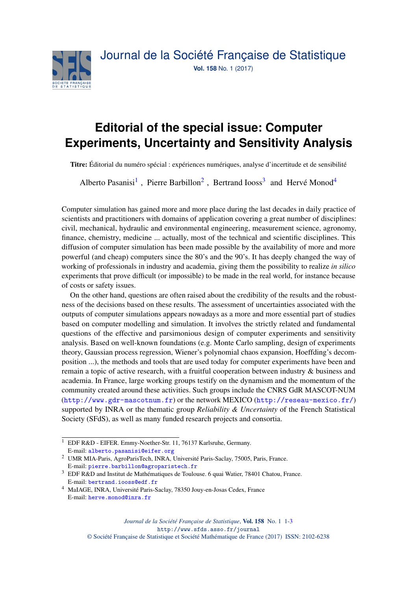

## **Editorial of the special issue: Computer Experiments, Uncertainty and Sensitivity Analysis**

Titre: Éditorial du numéro spécial : expériences numériques, analyse d'incertitude et de sensibilité

Alberto Pasanisi<sup>[1](#page-0-0)</sup>, Pierre Barbillon<sup>[2](#page-0-1)</sup>, Bertrand Iooss<sup>[3](#page-0-2)</sup> and Hervé Monod<sup>[4](#page-0-3)</sup>

Computer simulation has gained more and more place during the last decades in daily practice of scientists and practitioners with domains of application covering a great number of disciplines: civil, mechanical, hydraulic and environmental engineering, measurement science, agronomy, finance, chemistry, medicine ... actually, most of the technical and scientific disciplines. This diffusion of computer simulation has been made possible by the availability of more and more powerful (and cheap) computers since the 80's and the 90's. It has deeply changed the way of working of professionals in industry and academia, giving them the possibility to realize *in silico* experiments that prove difficult (or impossible) to be made in the real world, for instance because of costs or safety issues.

On the other hand, questions are often raised about the credibility of the results and the robustness of the decisions based on these results. The assessment of uncertainties associated with the outputs of computer simulations appears nowadays as a more and more essential part of studies based on computer modelling and simulation. It involves the strictly related and fundamental questions of the effective and parsimonious design of computer experiments and sensitivity analysis. Based on well-known foundations (e.g. Monte Carlo sampling, design of experiments theory, Gaussian process regression, Wiener's polynomial chaos expansion, Hoeffding's decomposition ...), the methods and tools that are used today for computer experiments have been and remain a topic of active research, with a fruitful cooperation between industry & business and academia. In France, large working groups testify on the dynamism and the momentum of the community created around these activities. Such groups include the CNRS GdR MASCOT-NUM (<http://www.gdr-mascotnum.fr>) or the network MEXICO (<http://reseau-mexico.fr/>) supported by INRA or the thematic group *Reliability & Uncertainty* of the French Statistical Society (SFdS), as well as many funded research projects and consortia.

<span id="page-0-0"></span><sup>1</sup> EDF R&D - EIFER. Emmy-Noether-Str. 11, 76137 Karlsruhe, Germany. E-mail: [alberto.pasanisi@eifer.org](mailto:alberto.pasanisi@eifer.org)

<span id="page-0-1"></span><sup>2</sup> UMR MIA-Paris, AgroParisTech, INRA, Université Paris-Saclay, 75005, Paris, France. E-mail: [pierre.barbillon@agroparistech.fr](mailto:pierre.barbillon@agroparistech.fr)

<span id="page-0-2"></span><sup>&</sup>lt;sup>3</sup> EDF R&D and Institut de Mathématiques de Toulouse. 6 quai Watier, 78401 Chatou, France. E-mail: [bertrand.iooss@edf.fr](mailto:bertrand.iooss@edf.fr)

<span id="page-0-3"></span><sup>4</sup> MaIAGE, INRA, Université Paris-Saclay, 78350 Jouy-en-Josas Cedex, France E-mail: [herve.monod@inra.fr](mailto:herve.monod@inra.fr)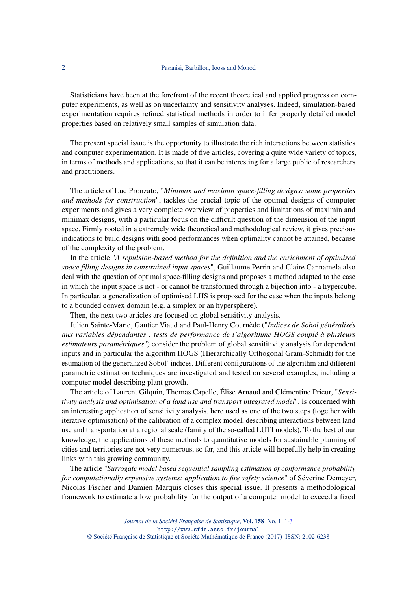Statisticians have been at the forefront of the recent theoretical and applied progress on computer experiments, as well as on uncertainty and sensitivity analyses. Indeed, simulation-based experimentation requires refined statistical methods in order to infer properly detailed model properties based on relatively small samples of simulation data.

The present special issue is the opportunity to illustrate the rich interactions between statistics and computer experimentation. It is made of five articles, covering a quite wide variety of topics, in terms of methods and applications, so that it can be interesting for a large public of researchers and practitioners.

The article of Luc Pronzato, "*Minimax and maximin space-filling designs: some properties and methods for construction*", tackles the crucial topic of the optimal designs of computer experiments and gives a very complete overview of properties and limitations of maximin and minimax designs, with a particular focus on the difficult question of the dimension of the input space. Firmly rooted in a extremely wide theoretical and methodological review, it gives precious indications to build designs with good performances when optimality cannot be attained, because of the complexity of the problem.

In the article "*A repulsion-based method for the definition and the enrichment of optimised space filling designs in constrained input spaces*", Guillaume Perrin and Claire Cannamela also deal with the question of optimal space-filling designs and proposes a method adapted to the case in which the input space is not - or cannot be transformed through a bijection into - a hypercube. In particular, a generalization of optimised LHS is proposed for the case when the inputs belong to a bounded convex domain (e.g. a simplex or an hypersphere).

Then, the next two articles are focused on global sensitivity analysis.

Julien Sainte-Marie, Gautier Viaud and Paul-Henry Cournède ("*Indices de Sobol généralisés aux variables dépendantes : tests de performance de l'algorithme HOGS couplé à plusieurs estimateurs paramétriques*") consider the problem of global sensititivity analysis for dependent inputs and in particular the algorithm HOGS (Hierarchically Orthogonal Gram-Schmidt) for the estimation of the generalized Sobol' indices. Different configurations of the algorithm and different parametric estimation techniques are investigated and tested on several examples, including a computer model describing plant growth.

The article of Laurent Gilquin, Thomas Capelle, Élise Arnaud and Clémentine Prieur, "*Sensitivity analysis and optimisation of a land use and transport integrated model*", is concerned with an interesting application of sensitivity analysis, here used as one of the two steps (together with iterative optimisation) of the calibration of a complex model, describing interactions between land use and transportation at a regional scale (family of the so-called LUTI models). To the best of our knowledge, the applications of these methods to quantitative models for sustainable planning of cities and territories are not very numerous, so far, and this article will hopefully help in creating links with this growing community.

The article "*Surrogate model based sequential sampling estimation of conformance probability for computationally expensive systems: application to fire safety science*" of Séverine Demeyer, Nicolas Fischer and Damien Marquis closes this special issue. It presents a methodological framework to estimate a low probability for the output of a computer model to exceed a fixed